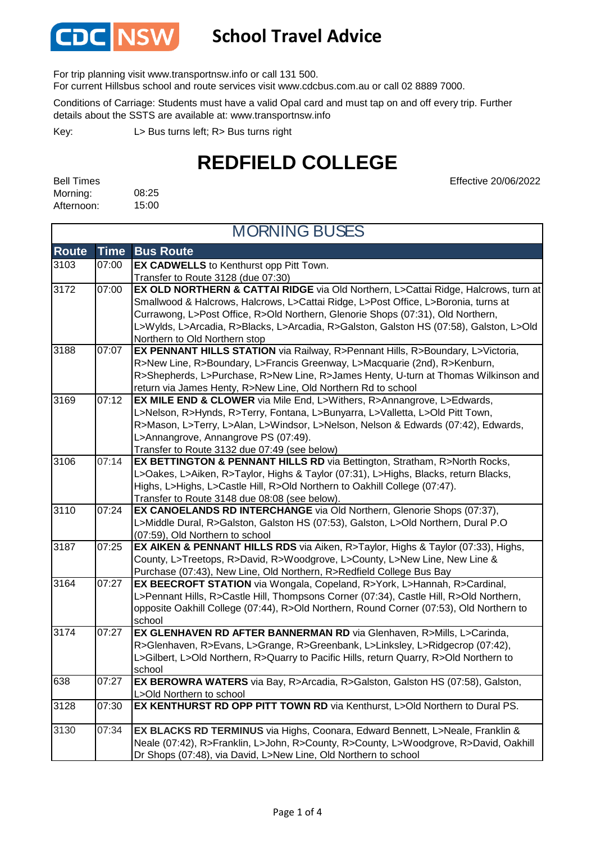

### **School Travel Advice**

For trip planning visit www.transportnsw.info or call 131 500.

For current Hillsbus school and route services visit www.cdcbus.com.au or call 02 8889 7000.

Conditions of Carriage: Students must have a valid Opal card and must tap on and off every trip. Further details about the SSTS are available at: www.transportnsw.info

L> Bus turns left; R> Bus turns right Key:

## **REDFIELD COLLEGE**

| <b>Bell Times</b> |       |
|-------------------|-------|
| Morning:          | 08:25 |
| Afternoon:        | 15:00 |

Effective 20/06/2022

| <b>MORNING BUSES</b> |             |                                                                                                                     |
|----------------------|-------------|---------------------------------------------------------------------------------------------------------------------|
| <b>Route</b>         | <b>Time</b> | <b>Bus Route</b>                                                                                                    |
| 3103                 | 07:00       | EX CADWELLS to Kenthurst opp Pitt Town.                                                                             |
|                      |             | Transfer to Route 3128 (due 07:30)                                                                                  |
| 3172                 | 07:00       | EX OLD NORTHERN & CATTAI RIDGE via Old Northern, L>Cattai Ridge, Halcrows, turn at                                  |
|                      |             | Smallwood & Halcrows, Halcrows, L>Cattai Ridge, L>Post Office, L>Boronia, turns at                                  |
|                      |             | Currawong, L>Post Office, R>Old Northern, Glenorie Shops (07:31), Old Northern,                                     |
|                      |             | L>Wylds, L>Arcadia, R>Blacks, L>Arcadia, R>Galston, Galston HS (07:58), Galston, L>Old                              |
|                      |             | Northern to Old Northern stop                                                                                       |
| 3188                 | 07:07       | EX PENNANT HILLS STATION via Railway, R>Pennant Hills, R>Boundary, L>Victoria,                                      |
|                      |             | R>New Line, R>Boundary, L>Francis Greenway, L>Macquarie (2nd), R>Kenburn,                                           |
|                      |             | R>Shepherds, L>Purchase, R>New Line, R>James Henty, U-turn at Thomas Wilkinson and                                  |
|                      |             | return via James Henty, R>New Line, Old Northern Rd to school                                                       |
| 3169                 | 07:12       | <b>EX MILE END &amp; CLOWER</b> via Mile End, L>Withers, R>Annangrove, L>Edwards,                                   |
|                      |             | L>Nelson, R>Hynds, R>Terry, Fontana, L>Bunyarra, L>Valletta, L>Old Pitt Town,                                       |
|                      |             | R>Mason, L>Terry, L>Alan, L>Windsor, L>Nelson, Nelson & Edwards (07:42), Edwards,                                   |
|                      |             | L>Annangrove, Annangrove PS (07:49).                                                                                |
|                      |             | Transfer to Route 3132 due 07:49 (see below)                                                                        |
| 3106                 | 07:14       | EX BETTINGTON & PENNANT HILLS RD via Bettington, Stratham, R>North Rocks,                                           |
|                      |             | L>Oakes, L>Aiken, R>Taylor, Highs & Taylor (07:31), L>Highs, Blacks, return Blacks,                                 |
|                      |             | Highs, L>Highs, L>Castle Hill, R>Old Northern to Oakhill College (07:47).                                           |
|                      |             | Transfer to Route 3148 due 08:08 (see below).                                                                       |
| 3110                 | 07:24       | EX CANOELANDS RD INTERCHANGE via Old Northern, Glenorie Shops (07:37),                                              |
|                      |             | L>Middle Dural, R>Galston, Galston HS (07:53), Galston, L>Old Northern, Dural P.O                                   |
| 3187                 | 07:25       | (07:59), Old Northern to school<br>EX AIKEN & PENNANT HILLS RDS via Aiken, R>Taylor, Highs & Taylor (07:33), Highs, |
|                      |             | County, L>Treetops, R>David, R>Woodgrove, L>County, L>New Line, New Line &                                          |
|                      |             | Purchase (07:43), New Line, Old Northern, R>Redfield College Bus Bay                                                |
| 3164                 | 07:27       | EX BEECROFT STATION via Wongala, Copeland, R>York, L>Hannah, R>Cardinal,                                            |
|                      |             | L>Pennant Hills, R>Castle Hill, Thompsons Corner (07:34), Castle Hill, R>Old Northern,                              |
|                      |             | opposite Oakhill College (07:44), R>Old Northern, Round Corner (07:53), Old Northern to                             |
|                      |             | school                                                                                                              |
| 3174                 | 07:27       | EX GLENHAVEN RD AFTER BANNERMAN RD via Glenhaven, R>Mills, L>Carinda,                                               |
|                      |             | R>Glenhaven, R>Evans, L>Grange, R>Greenbank, L>Linksley, L>Ridgecrop (07:42),                                       |
|                      |             | L>Gilbert, L>Old Northern, R>Quarry to Pacific Hills, return Quarry, R>Old Northern to                              |
|                      |             | school                                                                                                              |
| 638                  | 07:27       | EX BEROWRA WATERS via Bay, R>Arcadia, R>Galston, Galston HS (07:58), Galston,                                       |
|                      |             | L>Old Northern to school                                                                                            |
| 3128                 | 07:30       | EX KENTHURST RD OPP PITT TOWN RD via Kenthurst, L>Old Northern to Dural PS.                                         |
| 3130                 | 07:34       | EX BLACKS RD TERMINUS via Highs, Coonara, Edward Bennett, L>Neale, Franklin &                                       |
|                      |             | Neale (07:42), R>Franklin, L>John, R>County, R>County, L>Woodgrove, R>David, Oakhill                                |
|                      |             | Dr Shops (07:48), via David, L>New Line, Old Northern to school                                                     |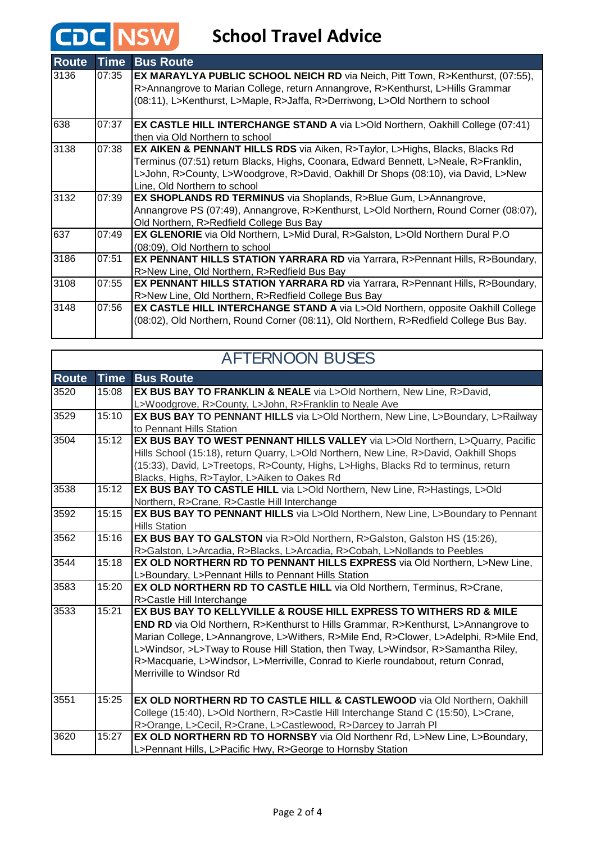# **CDC** NSW School Travel Advice

| <b>Route</b> | <b>Time</b> | <b>Bus Route</b>                                                                                                                                                                                                                                                                                      |
|--------------|-------------|-------------------------------------------------------------------------------------------------------------------------------------------------------------------------------------------------------------------------------------------------------------------------------------------------------|
| 3136         | 07:35       | EX MARAYLYA PUBLIC SCHOOL NEICH RD via Neich, Pitt Town, R>Kenthurst, (07:55),<br>R>Annangrove to Marian College, return Annangrove, R>Kenthurst, L>Hills Grammar<br>(08:11), L>Kenthurst, L>Maple, R>Jaffa, R>Derriwong, L>Old Northern to school                                                    |
| 638          | 07:37       | <b>EX CASTLE HILL INTERCHANGE STAND A via L&gt;Old Northern, Oakhill College (07:41)</b><br>then via Old Northern to school                                                                                                                                                                           |
| 3138         | 07:38       | <b>EX AIKEN &amp; PENNANT HILLS RDS</b> via Aiken, R>Taylor, L>Highs, Blacks, Blacks Rd<br>Terminus (07:51) return Blacks, Highs, Coonara, Edward Bennett, L>Neale, R>Franklin,<br>L>John, R>County, L>Woodgrove, R>David, Oakhill Dr Shops (08:10), via David, L>New<br>Line, Old Northern to school |
| 3132         | 07:39       | <b>EX SHOPLANDS RD TERMINUS</b> via Shoplands, R>Blue Gum, L>Annangrove,<br>Annangrove PS (07:49), Annangrove, R>Kenthurst, L>Old Northern, Round Corner (08:07),<br>Old Northern, R>Redfield College Bus Bay                                                                                         |
| 637          | 07:49       | EX GLENORIE via Old Northern, L>Mid Dural, R>Galston, L>Old Northern Dural P.O<br>(08:09), Old Northern to school                                                                                                                                                                                     |
| 3186         | 07:51       | EX PENNANT HILLS STATION YARRARA RD via Yarrara, R>Pennant Hills, R>Boundary,<br>R>New Line, Old Northern, R>Redfield Bus Bay                                                                                                                                                                         |
| 3108         | 07:55       | <b>EX PENNANT HILLS STATION YARRARA RD</b> via Yarrara, R>Pennant Hills, R>Boundary,<br>R>New Line, Old Northern, R>Redfield College Bus Bay                                                                                                                                                          |
| 3148         | 07:56       | <b>EX CASTLE HILL INTERCHANGE STAND A via L&gt;Old Northern, opposite Oakhill College</b><br>(08:02), Old Northern, Round Corner (08:11), Old Northern, R>Redfield College Bus Bay.                                                                                                                   |

|              |             | <b>AFTERNOON BUSES</b>                                                                     |
|--------------|-------------|--------------------------------------------------------------------------------------------|
| <b>Route</b> | <b>Time</b> | <b>Bus Route</b>                                                                           |
| 3520         | 15:08       | EX BUS BAY TO FRANKLIN & NEALE via L>Old Northern, New Line, R>David,                      |
|              |             | L>Woodgrove, R>County, L>John, R>Franklin to Neale Ave                                     |
| 3529         | 15:10       | EX BUS BAY TO PENNANT HILLS via L>Old Northern, New Line, L>Boundary, L>Railway            |
|              |             | to Pennant Hills Station                                                                   |
| 3504         | 15:12       | EX BUS BAY TO WEST PENNANT HILLS VALLEY via L>Old Northern, L>Quarry, Pacific              |
|              |             | Hills School (15:18), return Quarry, L>Old Northern, New Line, R>David, Oakhill Shops      |
|              |             | (15:33), David, L>Treetops, R>County, Highs, L>Highs, Blacks Rd to terminus, return        |
|              |             | Blacks, Highs, R>Taylor, L>Aiken to Oakes Rd                                               |
| 3538         | 15:12       | EX BUS BAY TO CASTLE HILL via L>Old Northern, New Line, R>Hastings, L>Old                  |
|              |             | Northern, R>Crane, R>Castle Hill Interchange                                               |
| 3592         | 15:15       | EX BUS BAY TO PENNANT HILLS via L>Old Northern, New Line, L>Boundary to Pennant            |
|              |             | <b>Hills Station</b>                                                                       |
| 3562         | 15:16       | <b>EX BUS BAY TO GALSTON</b> via R>Old Northern, R>Galston, Galston HS (15:26),            |
|              |             | R>Galston, L>Arcadia, R>Blacks, L>Arcadia, R>Cobah, L>Nollands to Peebles                  |
| 3544         | 15:18       | EX OLD NORTHERN RD TO PENNANT HILLS EXPRESS via Old Northern, L>New Line,                  |
|              |             | L>Boundary, L>Pennant Hills to Pennant Hills Station                                       |
| 3583         | 15:20       | EX OLD NORTHERN RD TO CASTLE HILL via Old Northern, Terminus, R>Crane,                     |
|              |             | R>Castle Hill Interchange                                                                  |
| 3533         | 15:21       | EX BUS BAY TO KELLYVILLE & ROUSE HILL EXPRESS TO WITHERS RD & MILE                         |
|              |             | <b>END RD</b> via Old Northern, R>Kenthurst to Hills Grammar, R>Kenthurst, L>Annangrove to |
|              |             | Marian College, L>Annangrove, L>Withers, R>Mile End, R>Clower, L>Adelphi, R>Mile End,      |
|              |             | L>Windsor, >L>Tway to Rouse Hill Station, then Tway, L>Windsor, R>Samantha Riley,          |
|              |             | R>Macquarie, L>Windsor, L>Merriville, Conrad to Kierle roundabout, return Conrad,          |
|              |             | Merriville to Windsor Rd                                                                   |
|              |             |                                                                                            |
| 3551         | 15:25       | EX OLD NORTHERN RD TO CASTLE HILL & CASTLEWOOD via Old Northern, Oakhill                   |
|              |             | College (15:40), L>Old Northern, R>Castle Hill Interchange Stand C (15:50), L>Crane,       |
|              |             | R>Orange, L>Cecil, R>Crane, L>Castlewood, R>Darcey to Jarrah PI                            |
| 3620         | 15:27       | EX OLD NORTHERN RD TO HORNSBY via Old Northenr Rd, L>New Line, L>Boundary,                 |
|              |             | L>Pennant Hills, L>Pacific Hwy, R>George to Hornsby Station                                |

### Page 2 of 4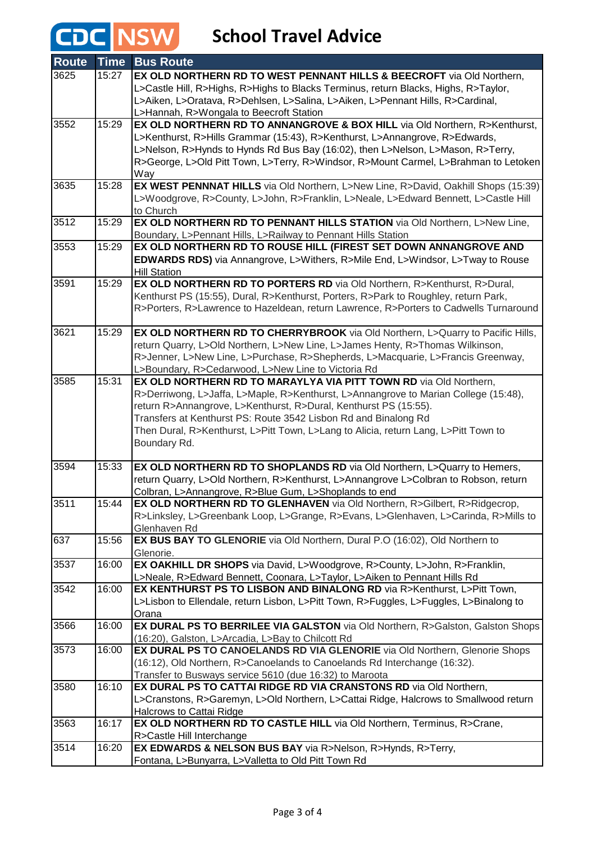# **CDC** NSW School Travel Advice

| <b>Route</b> | <b>Time</b> | <b>Bus Route</b>                                                                                                                                                 |
|--------------|-------------|------------------------------------------------------------------------------------------------------------------------------------------------------------------|
| 3625         | 15:27       | EX OLD NORTHERN RD TO WEST PENNANT HILLS & BEECROFT via Old Northern,                                                                                            |
|              |             | L>Castle Hill, R>Highs, R>Highs to Blacks Terminus, return Blacks, Highs, R>Taylor,                                                                              |
|              |             | L>Aiken, L>Oratava, R>Dehlsen, L>Salina, L>Aiken, L>Pennant Hills, R>Cardinal,                                                                                   |
|              |             | L>Hannah, R>Wongala to Beecroft Station                                                                                                                          |
| 3552         | 15:29       | EX OLD NORTHERN RD TO ANNANGROVE & BOX HILL via Old Northern, R>Kenthurst,                                                                                       |
|              |             | L>Kenthurst, R>Hills Grammar (15:43), R>Kenthurst, L>Annangrove, R>Edwards,                                                                                      |
|              |             | L>Nelson, R>Hynds to Hynds Rd Bus Bay (16:02), then L>Nelson, L>Mason, R>Terry,                                                                                  |
|              |             | R>George, L>Old Pitt Town, L>Terry, R>Windsor, R>Mount Carmel, L>Brahman to Letoken                                                                              |
| 3635         | 15:28       | Way<br>EX WEST PENNNAT HILLS via Old Northern, L>New Line, R>David, Oakhill Shops (15:39)                                                                        |
|              |             | L>Woodgrove, R>County, L>John, R>Franklin, L>Neale, L>Edward Bennett, L>Castle Hill                                                                              |
|              |             | to Church                                                                                                                                                        |
| 3512         | 15:29       | EX OLD NORTHERN RD TO PENNANT HILLS STATION via Old Northern, L>New Line,                                                                                        |
|              |             | Boundary, L>Pennant Hills, L>Railway to Pennant Hills Station                                                                                                    |
| 3553         | 15:29       | EX OLD NORTHERN RD TO ROUSE HILL (FIREST SET DOWN ANNANGROVE AND                                                                                                 |
|              |             | EDWARDS RDS) via Annangrove, L>Withers, R>Mile End, L>Windsor, L>Tway to Rouse                                                                                   |
|              |             | <b>Hill Station</b>                                                                                                                                              |
| 3591         | 15:29       | EX OLD NORTHERN RD TO PORTERS RD via Old Northern, R>Kenthurst, R>Dural,                                                                                         |
|              |             | Kenthurst PS (15:55), Dural, R>Kenthurst, Porters, R>Park to Roughley, return Park,                                                                              |
|              |             | R>Porters, R>Lawrence to Hazeldean, return Lawrence, R>Porters to Cadwells Turnaround                                                                            |
|              |             |                                                                                                                                                                  |
| 3621         | 15:29       | EX OLD NORTHERN RD TO CHERRYBROOK via Old Northern, L>Quarry to Pacific Hills,                                                                                   |
|              |             | return Quarry, L>Old Northern, L>New Line, L>James Henty, R>Thomas Wilkinson,<br>R>Jenner, L>New Line, L>Purchase, R>Shepherds, L>Macquarie, L>Francis Greenway, |
|              |             | L>Boundary, R>Cedarwood, L>New Line to Victoria Rd                                                                                                               |
| 3585         | 15:31       | EX OLD NORTHERN RD TO MARAYLYA VIA PITT TOWN RD via Old Northern,                                                                                                |
|              |             | R>Derriwong, L>Jaffa, L>Maple, R>Kenthurst, L>Annangrove to Marian College (15:48),                                                                              |
|              |             | return R>Annangrove, L>Kenthurst, R>Dural, Kenthurst PS (15:55).                                                                                                 |
|              |             | Transfers at Kenthurst PS: Route 3542 Lisbon Rd and Binalong Rd                                                                                                  |
|              |             | Then Dural, R>Kenthurst, L>Pitt Town, L>Lang to Alicia, return Lang, L>Pitt Town to                                                                              |
|              |             | Boundary Rd.                                                                                                                                                     |
|              |             |                                                                                                                                                                  |
| 3594         | 15:33       | EX OLD NORTHERN RD TO SHOPLANDS RD via Old Northern, L>Quarry to Hemers,                                                                                         |
|              |             | return Quarry, L>Old Northern, R>Kenthurst, L>Annangrove L>Colbran to Robson, return                                                                             |
| 3511         |             | Colbran, L>Annangrove, R>Blue Gum, L>Shoplands to end                                                                                                            |
|              | 15:44       | EX OLD NORTHERN RD TO GLENHAVEN via Old Northern, R>Gilbert, R>Ridgecrop,                                                                                        |
|              |             | R>Linksley, L>Greenbank Loop, L>Grange, R>Evans, L>Glenhaven, L>Carinda, R>Mills to<br>Glenhaven Rd                                                              |
| 637          | 15:56       | EX BUS BAY TO GLENORIE via Old Northern, Dural P.O (16:02), Old Northern to                                                                                      |
|              |             | Glenorie.                                                                                                                                                        |
| 3537         | 16:00       | EX OAKHILL DR SHOPS via David, L>Woodgrove, R>County, L>John, R>Franklin,                                                                                        |
|              |             | L>Neale, R>Edward Bennett, Coonara, L>Taylor, L>Aiken to Pennant Hills Rd                                                                                        |
| 3542         | 16:00       | EX KENTHURST PS TO LISBON AND BINALONG RD via R>Kenthurst, L>Pitt Town,                                                                                          |
|              |             | L>Lisbon to Ellendale, return Lisbon, L>Pitt Town, R>Fuggles, L>Fuggles, L>Binalong to                                                                           |
|              |             | Orana                                                                                                                                                            |
| 3566         | 16:00       | EX DURAL PS TO BERRILEE VIA GALSTON via Old Northern, R>Galston, Galston Shops                                                                                   |
|              |             | (16:20), Galston, L>Arcadia, L>Bay to Chilcott Rd                                                                                                                |
| 3573         | 16:00       | EX DURAL PS TO CANOELANDS RD VIA GLENORIE via Old Northern, Glenorie Shops                                                                                       |
|              |             | (16:12), Old Northern, R>Canoelands to Canoelands Rd Interchange (16:32).                                                                                        |
|              |             | Transfer to Busways service 5610 (due 16:32) to Maroota                                                                                                          |
| 3580         | 16:10       | EX DURAL PS TO CATTAI RIDGE RD VIA CRANSTONS RD via Old Northern,                                                                                                |
|              |             | L>Cranstons, R>Garemyn, L>Old Northern, L>Cattai Ridge, Halcrows to Smallwood return<br>Halcrows to Cattai Ridge                                                 |
| 3563         | 16:17       | EX OLD NORTHERN RD TO CASTLE HILL via Old Northern, Terminus, R>Crane,                                                                                           |
|              |             | R>Castle Hill Interchange                                                                                                                                        |
| 3514         | 16:20       | EX EDWARDS & NELSON BUS BAY via R>Nelson, R>Hynds, R>Terry,                                                                                                      |
|              |             | Fontana, L>Bunyarra, L>Valletta to Old Pitt Town Rd                                                                                                              |